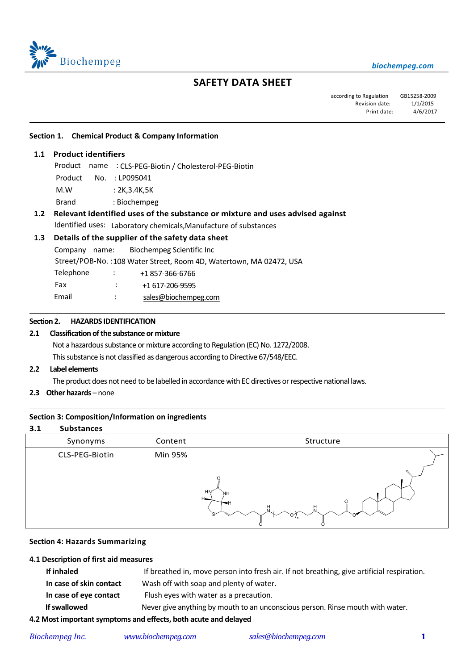

# **SAFETY DATA SHEET**

according to Regulation GB15258-2009 Revision date:  $1/1/2015$ Print date: 4/6/2017

#### **Section 1. Chemical Product & Company Information**

#### **1.1 Product identifiers**

֦

 $\overline{\phantom{0}}$ 

 $\overline{a}$ 

Product name : CLS-PEG-Biotin / Cholesterol-PEG-Biotin Product No. : LP095041 M.W : 2K,3.4K,5K Brand : Biochempeg

# **1.2 Relevant identified uses of the substance or mixture and uses advised against** Identified uses: Laboratory chemicals,Manufacture of substances

# **1.3 Details of the supplier of the safety data sheet**

Company name: Biochempeg Scientific Inc Street/POB-No. :108 Water Street, Room 4D, Watertown, MA 02472, USA Telephone : +1 857-366-6766 Fax : +1 617-206-9595 Email : [sales@biochempeg.com](mailto:sales@biochempeg.com)

# **Section 2. HAZARDS IDENTIFICATION**

#### **2.1 Classification of the substance or mixture**

Not a hazardous substance or mixture according to Regulation (EC) No. 1272/2008. This substance is not classified as dangerous according to Directive 67/548/EEC.

#### **2.2 Label elements**

The product does not need to be labelled in accordance with EC directives or respective national laws.

**2.3 Other hazards** – none

#### **Section 3: Composition/Information on ingredients**

# **3.1 Substances**

| Synonyms       | Content | Structure                                                    |
|----------------|---------|--------------------------------------------------------------|
| CLS-PEG-Biotin | Min 95% |                                                              |
|                |         | n,<br>HN<br>`NH<br>$H_{\bullet\bullet}$<br>U.<br>$n_{\rm n}$ |

#### **Section 4: Hazards Summarizing**

#### **4.1 Description of first aid measures**

| If inhaled                                                      | If breathed in, move person into fresh air. If not breathing, give artificial respiration. |  |  |
|-----------------------------------------------------------------|--------------------------------------------------------------------------------------------|--|--|
| In case of skin contact                                         | Wash off with soap and plenty of water.                                                    |  |  |
| In case of eye contact                                          | Flush eyes with water as a precaution.                                                     |  |  |
| If swallowed                                                    | Never give anything by mouth to an unconscious person. Rinse mouth with water.             |  |  |
| 4.2 Most important symptoms and effects, both acute and delayed |                                                                                            |  |  |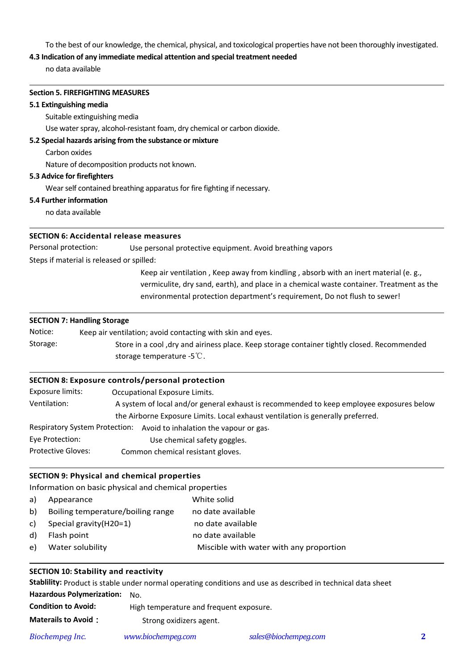To the best of our knowledge, the chemical, physical, and toxicological properties have not been thoroughly investigated.

# **4.3 Indication of any immediate medical attention and special treatment needed**

no data available

#### **Section 5. FIREFIGHTING MEASURES**

#### **5.1 Extinguishing media**

 $\overline{a}$ 

 $\overline{a}$ 

 $\overline{a}$ 

 $\overline{a}$ 

 $\overline{a}$ 

 $\overline{a}$ 

Suitable extinguishing media

Use water spray, alcohol-resistant foam, dry chemical or carbon dioxide.

# **5.2 Special hazards arising from the substance or mixture**

Carbon oxides

Nature of decomposition products not known.

#### **5.3 Advice for firefighters**

Wear self contained breathing apparatus for fire fighting if necessary.

#### **5.4 Further information**

no data available

## **SECTION 6: Accidental release measures**

Personal protection: Use personal protective equipment. Avoid breathing vapors

Steps if material is released or spilled:

Keep air ventilation , Keep away from kindling , absorb with an inert material (e. g., vermiculite, dry sand, earth), and place in a chemical waste container. Treatment as the environmental protection department's requirement, Do not flush to sewer!

## **SECTION 7: Handling Storage**

| Notice:  | Keep air ventilation; avoid contacting with skin and eyes.                                  |
|----------|---------------------------------------------------------------------------------------------|
| Storage: | Store in a cool, dry and airiness place. Keep storage container tightly closed. Recommended |
|          | storage temperature -5 $\mathbb{C}$ .                                                       |

## **SECTION 8: Exposure controls/personal protection**

| Exposure limits:                      | Occupational Exposure Limits.                                                            |  |  |
|---------------------------------------|------------------------------------------------------------------------------------------|--|--|
| Ventilation:                          | A system of local and/or general exhaust is recommended to keep employee exposures below |  |  |
|                                       | the Airborne Exposure Limits. Local exhaust ventilation is generally preferred.          |  |  |
| <b>Respiratory System Protection:</b> | Avoid to inhalation the vapour or gas.                                                   |  |  |
| Eye Protection:                       | Use chemical safety goggles.                                                             |  |  |
| <b>Protective Gloves:</b>             | Common chemical resistant gloves.                                                        |  |  |

# **SECTION 9: Physical and chemical properties**

Information on basic physical and chemical properties

| a) | Appearance                        | White solid                             |
|----|-----------------------------------|-----------------------------------------|
| b) | Boiling temperature/boiling range | no date available                       |
| c) | Special gravity (H20=1)           | no date available                       |
| d) | Flash point                       | no date available                       |
| e) | Water solubility                  | Miscible with water with any proportion |

#### **SECTION 10: Stability and reactivity**

**Stablility:** Product is stable under normal operating conditions and use as described in technical data sheet **Hazardous Polymerization:** No. **Condition to Avoid:** High temperature and frequent exposure.

**Materails to Avoid:** Strong oxidizers agent.